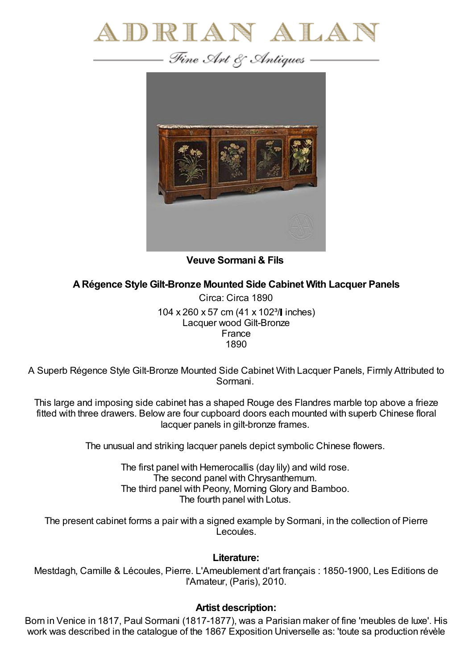



**Veuve Sormani & Fils**

**ARégence Style Gilt-Bronze Mounted Side Cabinet With Lacquer Panels**

Circa: Circa 1890 104 x 260 x 57 cm (41 x 102<sup>3</sup>/ linches) Lacquer wood Gilt-Bronze France 1890

A Superb Régence Style Gilt-Bronze Mounted Side Cabinet With Lacquer Panels, Firmly Attributed to Sormani.

This large and imposing side cabinet has a shaped Rouge des Flandres marble top above a frieze fitted with three drawers. Below are four cupboard doors each mounted with superb Chinese floral lacquer panels in gilt-bronze frames.

The unusual and striking lacquer panels depict symbolic Chinese flowers.

The first panel with Hemerocallis (day lily) and wild rose. The second panel with Chrysanthemum. The third panel with Peony, Morning Glory and Bamboo. The fourth panel with Lotus.

The present cabinet forms a pair with a signed example by Sormani, in the collection of Pierre Lecoules.

## **Literature:**

Mestdagh, Camille & Lécoules, Pierre. L'Ameublement d'art français : 1850-1900, Les Editions de l'Amateur, (Paris), 2010.

## **Artist description:**

Born in Venice in 1817, Paul Sormani (1817-1877), was a Parisian maker of fine 'meubles de luxe'. His work was described in the catalogue of the 1867 Exposition Universelle as: 'toute sa production révèle